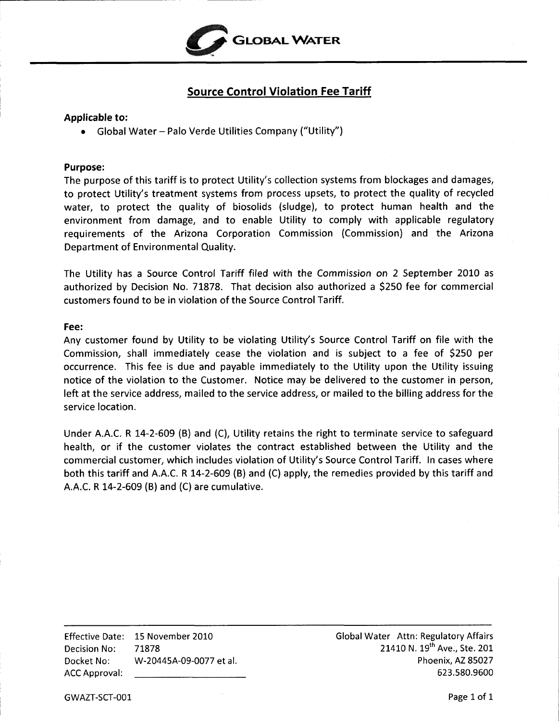

## **Source Control Violation Fee Tariff**

## <span id="page-0-0"></span>**Applicable to:**

*<sup>0</sup>*Global Water - Palo Verde Utilities Company ("Utility")

## **Purpose:**

The purpose of this tariff is to protect Utility's collection systems from blockages and damages, to protect Utility's treatment systems from process upsets, to protect the quality of recycled water, to protect the quality of biosolids (sludge), to protect human health and the environment from damage, and to enable Utility to comply with applicable regulatory requirements of the Arizona Corporation Commission (Commission) and the Arizona Department of Environmental Quality.

The Utility has a Source Control Tariff filed with the Commission on 2 September 2010 as authorized by Decision No. 71878. That decision also authorized a \$250 fee for commercial customers found to be in violation of the Source Control Tariff.

## **Fee:**

Any customer found by Utility to be violating Utility's Source Control Tariff on file with the Commission, shall immediately cease the violation and is subject to a fee of \$250 per occurrence. This fee is due and payable immediately to the Utility upon the Utility issuing notice of the violation to the Customer. Notice may be delivered to the customer in person, left at the service address, mailed to the service address, or mailed to the billing address for the service location.

Under A.A.C. **R** 14-2-609 (B) and (C), Utility retains the right to terminate service to safeguard health, or if the customer violates the contract established between the Utility and the commercial customer, which includes violation of Utility's Source Control Tariff. In cases where both this tariff and A.A.C. **R** 14-2-609 **(B)** and (C) apply, the remedies provided by this tariff and A.A.C. **R** 14-2-609 **(B)** and (C) are cumulative.

Effective Date: 15 November 2010 Decision No: 71878 Docket No: W-20445A-09-0077 et at. ACC Approval:

Global Water Attn: Regulatory Affairs 21410 N. 19<sup>th</sup> Ave., Ste. 201 Phoenix, AZ 85027 623.580.9600

GWAZT-SCT-001 Page 1 of 1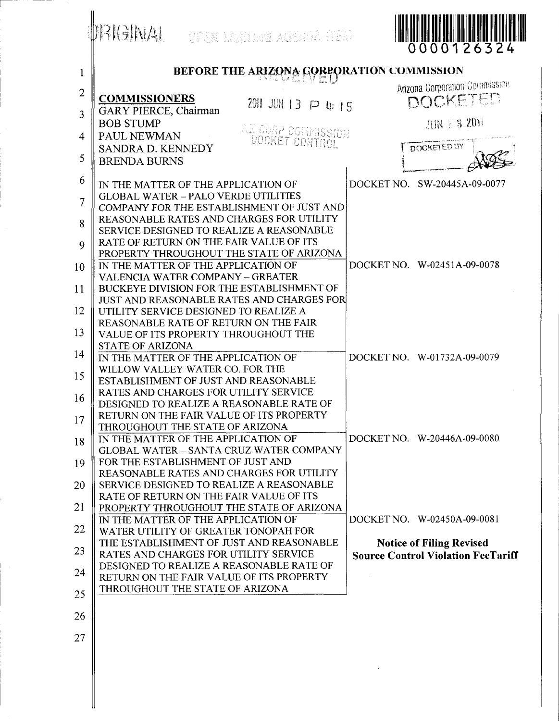|                | <b>IRIGINAL</b><br>open Mening agenda HED                                                 | 0000126324                                |
|----------------|-------------------------------------------------------------------------------------------|-------------------------------------------|
| $\mathbf{1}$   | BEFORE THE ARIZONA GORPORATION COMMISSION                                                 |                                           |
| $\overline{2}$ |                                                                                           | <b>Arizona Corporation Commission</b>     |
|                | <b>COMMISSIONERS</b><br>2011 JUN 13 P 4: 15                                               | DOCKETED                                  |
| 3              | <b>GARY PIERCE, Chairman</b><br><b>BOB STUMP</b>                                          | <b>JUN 3 3 2011</b>                       |
| 4              | AZ CORP COMMISSION<br>PAUL NEWMAN                                                         |                                           |
|                | DOCKET CONTROL<br>SANDRA D. KENNEDY                                                       | <b>DOCKETED BY</b>                        |
| 5              | <b>BRENDA BURNS</b>                                                                       |                                           |
| 6              | IN THE MATTER OF THE APPLICATION OF                                                       | DOCKET NO. SW-20445A-09-0077              |
| 7              | <b>GLOBAL WATER - PALO VERDE UTILITIES</b>                                                |                                           |
|                | COMPANY FOR THE ESTABLISHMENT OF JUST AND<br>REASONABLE RATES AND CHARGES FOR UTILITY     |                                           |
| 8              | SERVICE DESIGNED TO REALIZE A REASONABLE                                                  |                                           |
| 9              | RATE OF RETURN ON THE FAIR VALUE OF ITS                                                   |                                           |
| 10             | PROPERTY THROUGHOUT THE STATE OF ARIZONA<br>IN THE MATTER OF THE APPLICATION OF           | DOCKET NO. W-02451A-09-0078               |
|                | <b>VALENCIA WATER COMPANY - GREATER</b>                                                   |                                           |
| 11             | BUCKEYE DIVISION FOR THE ESTABLISHMENT OF                                                 |                                           |
| 12             | <b>JUST AND REASONABLE RATES AND CHARGES FOR</b><br>UTILITY SERVICE DESIGNED TO REALIZE A |                                           |
|                | REASONABLE RATE OF RETURN ON THE FAIR                                                     |                                           |
| 13             | VALUE OF ITS PROPERTY THROUGHOUT THE<br><b>STATE OF ARIZONA</b>                           |                                           |
| 14             | IN THE MATTER OF THE APPLICATION OF                                                       | DOCKET NO. W-01732A-09-0079               |
| 15             | WILLOW VALLEY WATER CO. FOR THE                                                           |                                           |
|                | ESTABLISHMENT OF JUST AND REASONABLE<br>RATES AND CHARGES FOR UTILITY SERVICE             |                                           |
| 16             | DESIGNED TO REALIZE A REASONABLE RATE OF                                                  |                                           |
| 17             | RETURN ON THE FAIR VALUE OF ITS PROPERTY                                                  |                                           |
| 18             | THROUGHOUT THE STATE OF ARIZONA<br>IN THE MATTER OF THE APPLICATION OF                    | DOCKET NO. W-20446A-09-0080               |
|                | <b>GLOBAL WATER - SANTA CRUZ WATER COMPANY</b>                                            |                                           |
| 19             | FOR THE ESTABLISHMENT OF JUST AND<br>REASONABLE RATES AND CHARGES FOR UTILITY             |                                           |
| 20             | SERVICE DESIGNED TO REALIZE A REASONABLE                                                  |                                           |
|                | RATE OF RETURN ON THE FAIR VALUE OF ITS                                                   |                                           |
| 21             | PROPERTY THROUGHOUT THE STATE OF ARIZONA<br>IN THE MATTER OF THE APPLICATION OF           | DOCKET NO. W-02450A-09-0081               |
| 22             | WATER UTILITY OF GREATER TONOPAH FOR                                                      |                                           |
| 23             | THE ESTABLISHMENT OF JUST AND REASONABLE                                                  | <b>Notice of Filing Revised</b>           |
|                | RATES AND CHARGES FOR UTILITY SERVICE<br>DESIGNED TO REALIZE A REASONABLE RATE OF         | <b>Source Control Violation FeeTariff</b> |
| 24             | RETURN ON THE FAIR VALUE OF ITS PROPERTY                                                  |                                           |
| 25             | THROUGHOUT THE STATE OF ARIZONA                                                           |                                           |
|                |                                                                                           |                                           |
| 26             |                                                                                           |                                           |
| 27             |                                                                                           |                                           |
|                |                                                                                           |                                           |
|                |                                                                                           |                                           |
|                |                                                                                           |                                           |
|                |                                                                                           |                                           |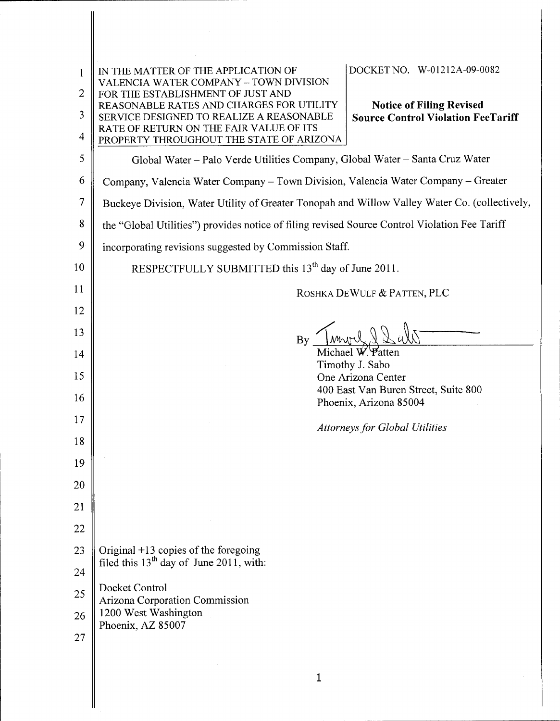| 1<br>$\overline{2}$<br>3<br>4 | DOCKET NO. W-01212A-09-0082<br>IN THE MATTER OF THE APPLICATION OF<br>VALENCIA WATER COMPANY - TOWN DIVISION<br>FOR THE ESTABLISHMENT OF JUST AND<br>REASONABLE RATES AND CHARGES FOR UTILITY<br><b>Notice of Filing Revised</b><br><b>Source Control Violation FeeTariff</b><br>SERVICE DESIGNED TO REALIZE A REASONABLE<br>RATE OF RETURN ON THE FAIR VALUE OF ITS<br>PROPERTY THROUGHOUT THE STATE OF ARIZONA |  |  |
|-------------------------------|------------------------------------------------------------------------------------------------------------------------------------------------------------------------------------------------------------------------------------------------------------------------------------------------------------------------------------------------------------------------------------------------------------------|--|--|
| 5                             | Global Water - Palo Verde Utilities Company, Global Water - Santa Cruz Water                                                                                                                                                                                                                                                                                                                                     |  |  |
| 6                             | Company, Valencia Water Company – Town Division, Valencia Water Company – Greater                                                                                                                                                                                                                                                                                                                                |  |  |
| 7                             | Buckeye Division, Water Utility of Greater Tonopah and Willow Valley Water Co. (collectively,                                                                                                                                                                                                                                                                                                                    |  |  |
| 8                             | the "Global Utilities") provides notice of filing revised Source Control Violation Fee Tariff                                                                                                                                                                                                                                                                                                                    |  |  |
| 9                             | incorporating revisions suggested by Commission Staff.                                                                                                                                                                                                                                                                                                                                                           |  |  |
| 10                            | RESPECTFULLY SUBMITTED this 13 <sup>th</sup> day of June 2011.                                                                                                                                                                                                                                                                                                                                                   |  |  |
| 11                            | ROSHKA DEWULF & PATTEN, PLC                                                                                                                                                                                                                                                                                                                                                                                      |  |  |
| 12                            |                                                                                                                                                                                                                                                                                                                                                                                                                  |  |  |
| 13                            | By<br>Michael W. Patten<br>Timothy J. Sabo                                                                                                                                                                                                                                                                                                                                                                       |  |  |
| 14                            |                                                                                                                                                                                                                                                                                                                                                                                                                  |  |  |
| 15                            | One Arizona Center                                                                                                                                                                                                                                                                                                                                                                                               |  |  |
| 16                            | 400 East Van Buren Street, Suite 800<br>Phoenix, Arizona 85004<br><b>Attorneys for Global Utilities</b>                                                                                                                                                                                                                                                                                                          |  |  |
| 17                            |                                                                                                                                                                                                                                                                                                                                                                                                                  |  |  |
| 18                            |                                                                                                                                                                                                                                                                                                                                                                                                                  |  |  |
| 19                            |                                                                                                                                                                                                                                                                                                                                                                                                                  |  |  |
| 20                            |                                                                                                                                                                                                                                                                                                                                                                                                                  |  |  |
| 21                            |                                                                                                                                                                                                                                                                                                                                                                                                                  |  |  |
| 22                            |                                                                                                                                                                                                                                                                                                                                                                                                                  |  |  |
| 23                            | Original $+13$ copies of the foregoing<br>filed this $13th$ day of June 2011, with:                                                                                                                                                                                                                                                                                                                              |  |  |
| 24                            | Docket Control                                                                                                                                                                                                                                                                                                                                                                                                   |  |  |
| 25                            | Arizona Corporation Commission                                                                                                                                                                                                                                                                                                                                                                                   |  |  |
| 26                            | 1200 West Washington<br>Phoenix, AZ 85007                                                                                                                                                                                                                                                                                                                                                                        |  |  |
| 27                            |                                                                                                                                                                                                                                                                                                                                                                                                                  |  |  |
|                               | 1                                                                                                                                                                                                                                                                                                                                                                                                                |  |  |
|                               |                                                                                                                                                                                                                                                                                                                                                                                                                  |  |  |

∥